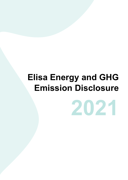# **Elisa Energy and GHG Emission Disclosure**

**2021**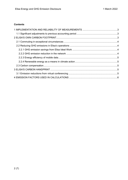# **Contents**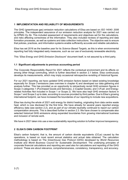# <span id="page-2-0"></span>**1 IMPLEMENTATION AND RELIABILITY OF MEASUREMENTS**

The GHG (greenhouse gas) emission reduction calculations of Elisa are based on *ISO 14040: 2006* principles. The independent assurance of our emission reduction analysis for 2021 was carried out by KPMG Oy Ab. This included assessment of requirements and objectives set for the calculations, and risks affecting correctness of the information. They also included reviews of reporting and data formation processes, as well as systems and data collection instructions. The objective was to ensure that policies, practices, and information systems enable sufficiently accurate and reliable calculations.

Elisa has set 2016 as the baseline year for its *Science Based Targets*, as this is when environmental reporting had fully integrated early measures, such as our use of exclusively renewable electricity.

This "*Elisa Energy and GHG Emission Disclosure*" document itself, is not assured by a third party.

## <span id="page-2-1"></span>**1.1 Significant adjustments to previous accounting period**

The *Corporate Responsibility Report* for 2021 reflects the contextual environment and its effects on among other things commuting, which is further described in section 2.1 below. Elisa continuously develops its measurements, which may imply occasional retrospective revisiting of historical figures.

For our 2021 reporting, we have updated GHG emission factors based on latest existing knowledge especially for *Scope 3* emissions (see overview in chapter 4) and developed our data gathering and analysis further. This has provided us an opportunity to retroactively revisit GHG emission figures in Scope 3 categories 1 (Purchased Goods and Services), 2 (Capital Goods), and 3 (Fuel- and Energyrelated Activities Not included in Scope 1 or Scope 2). We have also kept GHG emission factors in Scope 1 and Scope 2 up to date, according to sources provided by third parties. Due to Elisa's growing international footprint, we have increased the boundaries of our reporting to include new acquisitions.

Elisa has during the whole of 2021 sold energy for district heating, originating from data centre waste heat, which is now disclosed for the first time. We have already for several years reported energy efficiency data (see section 2.2), and as part of our climate neutrality continued to report our carbon compensation amounts. This is described further in section 2.3. We have chosen to compensate also selected historical GHG emissions along expanded boundaries from growing international business and inclusion of remote work.

We have in 2021 taken into use a new sustainability reporting solution to further improve transparency.

## <span id="page-2-2"></span>**2 ELISA'S OWN CARBON FOOTPRINT**

Elisa's carbon footprint, that is, the amount of carbon dioxide equivalents ( $CO<sub>2</sub>e$ ) caused by the operations, is based on most recent annual statistics and actual data obtained. The calculation methodology is based on The *Greenhouse Gas Protocol* (GHG) developed by *World Resources Institute* and *World Business Council for Sustainable Development*. The underlying principles of corporate financial calculations and reporting are used also for calculations and reporting of the GHG protocol. These are about relevance, comprehensiveness, consistency, transparency, and accuracy.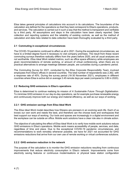Elisa takes general principles of calculations into account in its calculations. The boundaries of the calculation are defined for the operations so that they best correspond to Elisa's operations, products, and services. The calculation is carried out in such a way that the method is transparent and verifiable by a third party. All assumptions and steps in the calculation have been clearly reported. Data collection and reporting systems and the reliability of existing controls, as well as the method of calculation and data risks related to data collection have been thoroughly evaluated by a third party.

# <span id="page-3-0"></span>**2.1 Commuting in exceptional circumstances**

The COVID-19 pandemic continued to affect us all in 2021. During the exceptional circumstances, we have to a limited degree found it necessary to visit company premises. The result from these recent commuting surveys therefore radically differs from the years before 2020, and all usual analyses are not worthwhile. *Elisa Ideal Work* related metrics, such as office space efficiency while employees are given recommendations of remote working, or amount of virtual conferencing, when there are no practical alternatives to arrange meetings between people, are curiosities during a pandemic period.

The *Commuting Survey for 2021*, conducted by the *Elisa Corporate Responsibility Team*, involved employees from Elisa's offices in several countries. The total number of respondents was 2,362, with a response rate of 45%. During the survey period (16-30 November 2021), employees in different countries where Elisa is active did on average 3.45 remote days per week (compared to 3.80 in 2020).

## <span id="page-3-1"></span>**2.2 Reducing GHG emissions in Elisa's operations**

Elisa is determined to continue realising its mission of *A Sustainable Future Through Digitalisation*. To minimise GHG emission in our day-to-day operations, we for example purchase renewable energy and continuously improve both our energy and material efficiency, as well as our ways of working.

# <span id="page-3-2"></span>**2.2.1 GHG emission savings from Elisa Ideal Work**

The *Elisa Ideal Work* model describes how Elisians are pioneers in an evolving work life. Each of us knows our own work and needs the best, and therefore can the choose tools and workspaces that best support our ways of working. Our tools and spaces are increasingly in a digital environment and the workplace can be outside an office. Mobile work solutions have a clear role also in climate action.

The objective of calculating the effect of Elisa Ideal Work is to verify how mobile work solutions reduce GHG emissions in Elisa's operations. Mobile work means accessibility of people, services, and data, regardless of time and place. Due to the exceptional COVID-19 pandemic circumstances, and recommendations to work remotely whenever possible, we have for 2021 not accounted for GHG emissions reductions that arrive from our own use of remote working or virtual conferences solutions.

## <span id="page-3-3"></span>**2.2.2 GHG emission reduction in the network**

The purpose of the calculation is to monitor the GHG emission reductions resulting from continuous improvements that reduce electricity consumption in Elisa's network. Improvements come from electricity saving features or continuous modernisations or physical base station configuration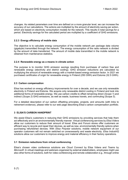changes. As related parameters over time are defined on a more granular level, we can increase the accuracy of our calculations. The actions are multiplied by the amount of electricity saving per action, which are based on electricity consumption models for the network. This results in total savings for a period. Electricity savings for the calculated period are multiplied by a coefficient of GHG emissions.

## <span id="page-4-0"></span>**2.2.3 Energy efficiency of mobile data**

The objective is to calculate energy consumption of the mobile network per package data volume (gigabyte) transmitted through the network. The energy consumption of the radio network is divided by the amount of data transferred. The amount of mobile data transmitted in the mobile network is obtained from maintenance statistics.

## <span id="page-4-1"></span>**2.2.4 Renewable energy as a means in climate action**

The purpose is to monitor GHG emission savings resulting from purchases of carbon free and renewable energy (electricity and district cooling). GHG emission reductions are calculated by multiplying the amount of renewable energy with a market-based energy emission factor. In 2021 we purchased *certificates of origin* for renewable energy in Finland (250 GWh) and Estonia (32.5 GWh).

# <span id="page-4-2"></span>**2.3 Carbon compensation**

Elisa has worked on energy efficiency improvements for over a decade, and we use only renewable electricity in Finland and Estonia. We acquire only renewable district cooling in Finland and look into additional forms of renewable energy. We use carbon credits to offset remaining direct (*Scope 1*) and indirect (*Scope 2*) GHG emissions, as well as waste, business travels, and commuting (Scope 3).

For a detailed description of our carbon offsetting principles, projects, and amounts (with links to retirement evidence), please refer to our web page describing Elisa's carbon compensation portfolio.

# <span id="page-4-3"></span>**3 ELISA'S CARBON HANDPRINT**

We assist Elisa's customers in reducing their GHG emissions by providing services that help them act effectively and in an environmentally friendly manner. Virtual conferencing services by *Elisa Videra* allow our customers to reduce their amount of travel. Elisa and *Fonum* stores offer customers an efficient way to recycle and repair their devices, as well as new, environmentally friendly options when purchasing refurbished devices. With *Elisa Polystar* solutions, mobile network equipment of our operator customers will not remain switched on unnecessarily and waste electricity. *Elisa IndustrIQ* solutions allow our customers to improve energy and material efficiency in their factory operations.

## <span id="page-4-4"></span>**3.1 Emission reductions from virtual conferencing**

Elisa's chosen video conference solutions are *Cloud Connect* by Elisa Videra and *Teams* by *Microsoft*. In virtual meetings and webinars organized by external stakeholders, employees might use also other forms of solutions, both for video conferencing and remote collaboration e.g., through online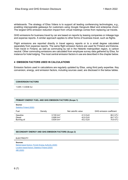GHG emissions for business travel by car are based on reports by leasing companies or mileage logs and expense reports. A similar approach applies to other forms of business travel, such as flights.

Flight emissions are reported directly in travel agency reports or to a small degree calculated separately from expense reports. The same flight emission factors are used for Finland and Estonia. Train travel in Finland, as well as commuting by rail in the Helsinki metropolitan region, is carbon neutral. Other commuting emissions are calculated from employee survey data gathered by Elisa, for instance for hotel lodging. The most central emission factors in use are described in the chapter below.

# <span id="page-5-0"></span>**4 EMISSION FACTORS USED IN CALCULATIONS**

Emission factors used in calculations are regularly updated by Elisa, using third party expertise. Key conversion, energy, and emission factors, including sources used, are disclosed in the below tables.

#### **CONVERSION FACTORS**

1 kWh = 0.0036 GJ

**Source:**

#### **PRIMARY ENERGY FUEL AND GHG EMISSION FACTORS (Scope 1)**

| Statistics Finland (2020) |                          |                     |                          |
|---------------------------|--------------------------|---------------------|--------------------------|
| Fuel                      | Density                  | Net calorific value | GHG emission coefficient |
| Gasoline                  | $0.745$ t/m <sup>3</sup> | 41.9 GJ/t           | 66.3 t/TJ                |
| Diesel                    | $0.806$ t/m <sup>3</sup> | 42.8 GJ/t           | 64.7 t/TJ                |
| Burning oil               | $0.834$ t/m <sup>3</sup> | 43.2 GJ/t           | 70.9 t/TJ                |

#### **SECONDARY ENERGY AND GHG EMISSION FACTORS (Scope 2)**

#### ELECTRICITY

**Sources:** [Market-based factors: Finnish Energy Authority \(2020\)](https://energiavirasto.fi/-/vuoden-2020-jaannosjakauma-julkaistu) [Location-based factors: Statistics Finland \(2020\)](https://view.officeapps.live.com/op/view.aspx?src=https%3A%2F%2Fpxhopea2.stat.fi%2Fsahkoiset_julkaisut%2Fenergia2020%2Fdata%2Ft12_03.xlsx&wdOrigin=BROWSELINK,%205%20years%20moving%20%20average) [AIB \(2020\)](https://www.aib-net.org/sites/default/files/assets/facts/residual-mix/2020/AIB_2020_Residual_Mix_Results.pdf)